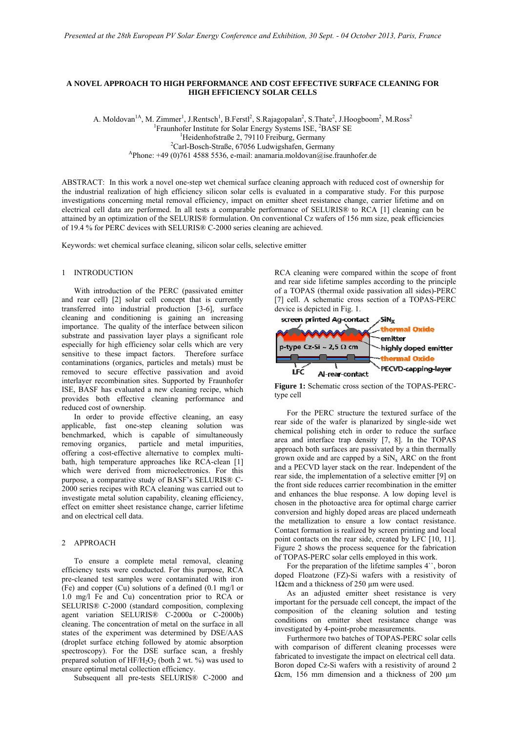## **A NOVEL APPROACH TO HIGH PERFORMANCE AND COST EFFECTIVE SURFACE CLEANING FOR HIGH EFFICIENCY SOLAR CELLS**

A. Moldovan<sup>1A</sup>, M. Zimmer<sup>1</sup>, J.Rentsch<sup>1</sup>, B.Ferstl<sup>2</sup>, S.Rajagopalan<sup>2</sup>, S.Thate<sup>2</sup>, J.Hoogboom<sup>2</sup>, M.Ross<sup>2</sup> <sup>1</sup>Fraunhofer Institute for Solar Energy Systems ISE, <sup>2</sup>BASF SE<br><sup>1</sup>Hojdonhofstraße 2, 70110 Fraiburg Gormany <sup>1</sup>Heidenhofstraße 2, 79110 Freiburg, Germany<br><sup>2</sup>Carl-Bosch-Straße, 67056 Ludwigshafen, Germany  $A$ Phone: +49 (0)761 4588 5536, e-mail: anamaria.moldovan@ise.fraunhofer.de

ABSTRACT: In this work a novel one-step wet chemical surface cleaning approach with reduced cost of ownership for the industrial realization of high efficiency silicon solar cells is evaluated in a comparative study. For this purpose investigations concerning metal removal efficiency, impact on emitter sheet resistance change, carrier lifetime and on electrical cell data are performed. In all tests a comparable performance of SELURIS® to RCA [1] cleaning can be attained by an optimization of the SELURIS® formulation. On conventional Cz wafers of 156 mm size, peak efficiencies of 19.4 % for PERC devices with SELURIS® C-2000 series cleaning are achieved.

Keywords: wet chemical surface cleaning, silicon solar cells, selective emitter

### 1 INTRODUCTION

 With introduction of the PERC (passivated emitter and rear cell) [2] solar cell concept that is currently transferred into industrial production [3-6], surface cleaning and conditioning is gaining an increasing importance. The quality of the interface between silicon substrate and passivation layer plays a significant role especially for high efficiency solar cells which are very sensitive to these impact factors. Therefore surface contaminations (organics, particles and metals) must be removed to secure effective passivation and avoid interlayer recombination sites. Supported by Fraunhofer ISE, BASF has evaluated a new cleaning recipe, which provides both effective cleaning performance and reduced cost of ownership.

 In order to provide effective cleaning, an easy applicable, fast one-step cleaning solution was benchmarked, which is capable of simultaneously removing organics, particle and metal impurities, offering a cost-effective alternative to complex multibath, high temperature approaches like RCA-clean [1] which were derived from microelectronics. For this purpose, a comparative study of BASF's SELURIS® C-2000 series recipes with RCA cleaning was carried out to investigate metal solution capability, cleaning efficiency, effect on emitter sheet resistance change, carrier lifetime and on electrical cell data.

## 2 APPROACH

 To ensure a complete metal removal, cleaning efficiency tests were conducted. For this purpose, RCA pre-cleaned test samples were contaminated with iron (Fe) and copper (Cu) solutions of a defined (0.1 mg/l or 1.0 mg/l Fe and Cu) concentration prior to RCA or SELURIS® C-2000 (standard composition, complexing agent variation SELURIS® C-2000a or C-2000b) cleaning. The concentration of metal on the surface in all states of the experiment was determined by DSE/AAS (droplet surface etching followed by atomic absorption spectroscopy). For the DSE surface scan, a freshly prepared solution of  $HF/H_2O_2$  (both 2 wt. %) was used to ensure optimal metal collection efficiency.

Subsequent all pre-tests SELURIS® C-2000 and

RCA cleaning were compared within the scope of front and rear side lifetime samples according to the principle of a TOPAS (thermal oxide passivation all sides)-PERC [7] cell. A schematic cross section of a TOPAS-PERC device is depicted in Fig. 1.



**Figure 1:** Schematic cross section of the TOPAS-PERCtype cell

 For the PERC structure the textured surface of the rear side of the wafer is planarized by single-side wet chemical polishing etch in order to reduce the surface area and interface trap density [7, 8]. In the TOPAS approach both surfaces are passivated by a thin thermally grown oxide and are capped by a  $\sin x$  ARC on the front and a PECVD layer stack on the rear. Independent of the rear side, the implementation of a selective emitter [9] on the front side reduces carrier recombination in the emitter and enhances the blue response. A low doping level is chosen in the photoactive area for optimal charge carrier conversion and highly doped areas are placed underneath the metallization to ensure a low contact resistance. Contact formation is realized by screen printing and local point contacts on the rear side, created by LFC [10, 11]. Figure 2 shows the process sequence for the fabrication of TOPAS-PERC solar cells employed in this work.

 For the preparation of the lifetime samples 4``, boron doped Floatzone (FZ)-Si wafers with a resistivity of 1Ωcm and a thickness of 250  $μ$ m were used.

 As an adjusted emitter sheet resistance is very important for the persuade cell concept, the impact of the composition of the cleaning solution and testing conditions on emitter sheet resistance change was investigated by 4-point-probe measurements.

 Furthermore two batches of TOPAS-PERC solar cells with comparison of different cleaning processes were fabricated to investigate the impact on electrical cell data. Boron doped Cz-Si wafers with a resistivity of around 2  $\Omega$ cm, 156 mm dimension and a thickness of 200 µm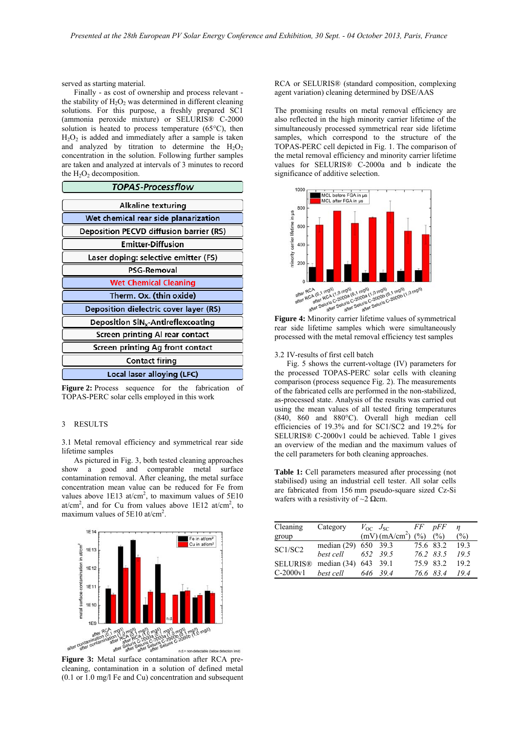served as starting material.

 Finally - as cost of ownership and process relevant the stability of  $H_2O_2$  was determined in different cleaning solutions. For this purpose, a freshly prepared SC1 (ammonia peroxide mixture) or SELURIS® C-2000 solution is heated to process temperature  $(65^{\circ}C)$ , then  $H<sub>2</sub>O<sub>2</sub>$  is added and immediately after a sample is taken and analyzed by titration to determine the  $H_2O_2$ concentration in the solution. Following further samples are taken and analyzed at intervals of 3 minutes to record the  $H_2O_2$  decomposition.

| TOPAS-Processflow                              |  |  |  |  |  |  |
|------------------------------------------------|--|--|--|--|--|--|
| <b>Alkaline texturing</b>                      |  |  |  |  |  |  |
| Wet chemical rear side planarization           |  |  |  |  |  |  |
| <b>Deposition PECVD diffusion barrier (RS)</b> |  |  |  |  |  |  |
| <b>Emitter-Diffusion</b>                       |  |  |  |  |  |  |
| Laser doping: selective emitter (FS)           |  |  |  |  |  |  |
| PSG-Removal                                    |  |  |  |  |  |  |
| <b>Wet Chemical Cleaning</b>                   |  |  |  |  |  |  |
| Therm. Ox. (thin oxide)                        |  |  |  |  |  |  |
| Deposition dielectric cover layer (RS)         |  |  |  |  |  |  |
| Deposition SiN <sub>x</sub> -Antireflexcoating |  |  |  |  |  |  |
| Screen printing Al rear contact                |  |  |  |  |  |  |
| Screen printing Ag front contact               |  |  |  |  |  |  |
| Contact firing                                 |  |  |  |  |  |  |
| Local laser alloying (LFC)                     |  |  |  |  |  |  |

**Figure 2:** Process sequence for the fabrication of TOPAS-PERC solar cells employed in this work

# 3 RESULTS

3.1 Metal removal efficiency and symmetrical rear side lifetime samples

 As pictured in Fig. 3, both tested cleaning approaches show a good and comparable metal surface contamination removal. After cleaning, the metal surface concentration mean value can be reduced for Fe from values above  $1E13$  at/cm<sup>2</sup>, to maximum values of  $5E10$ at/cm<sup>2</sup>, and for Cu from values above  $1E12$  at/cm<sup>2</sup>, to maximum values of 5E10 at/cm<sup>2</sup>.



**Figure 3:** Metal surface contamination after RCA precleaning, contamination in a solution of defined metal (0.1 or 1.0 mg/l Fe and Cu) concentration and subsequent

RCA or SELURIS® (standard composition, complexing agent variation) cleaning determined by DSE/AAS

The promising results on metal removal efficiency are also reflected in the high minority carrier lifetime of the simultaneously processed symmetrical rear side lifetime samples, which correspond to the structure of the TOPAS-PERC cell depicted in Fig. 1. The comparison of the metal removal efficiency and minority carrier lifetime values for SELURIS® C-2000a and b indicate the significance of additive selection.



**Figure 4:** Minority carrier lifetime values of symmetrical rear side lifetime samples which were simultaneously processed with the metal removal efficiency test samples

#### 3.2 IV-results of first cell batch

 Fig. 5 shows the current-voltage (IV) parameters for the processed TOPAS-PERC solar cells with cleaning comparison (process sequence Fig. 2). The measurements of the fabricated cells are performed in the non-stabilized, as-processed state. Analysis of the results was carried out using the mean values of all tested firing temperatures (840, 860 and 880°C). Overall high median cell efficiencies of 19.3% and for SC1/SC2 and 19.2% for SELURIS® C-2000v1 could be achieved. Table 1 gives an overview of the median and the maximum values of the cell parameters for both cleaning approaches.

**Table 1:** Cell parameters measured after processing (not stabilised) using an industrial cell tester. All solar cells are fabricated from 156 mm pseudo-square sized Cz-Si wafers with a resistivity of  $\sim$ 2  $\Omega$ cm.

| Cleaning        | Category             | $V_{\rm OC}$ $J_{\rm SC}$ |                           | FF        | pFF       |               |
|-----------------|----------------------|---------------------------|---------------------------|-----------|-----------|---------------|
| group           |                      |                           | (mV)(mA/cm <sup>2</sup> ) | (% )      | (%)       | $\frac{6}{2}$ |
| SC1/SC2         | median (29) 650 39.3 |                           |                           | 75.6 83.2 |           | 193           |
|                 | best cell            |                           | 652 39.5                  |           | 76.2 83.5 | 19.5          |
| <b>SELURIS®</b> | median $(34)$        | 643 39.1                  |                           | 75.9 83.2 |           | 192           |
| $C-2000v1$      | best cell            |                           | 646 39.4                  |           | 76.6 83.4 | 194           |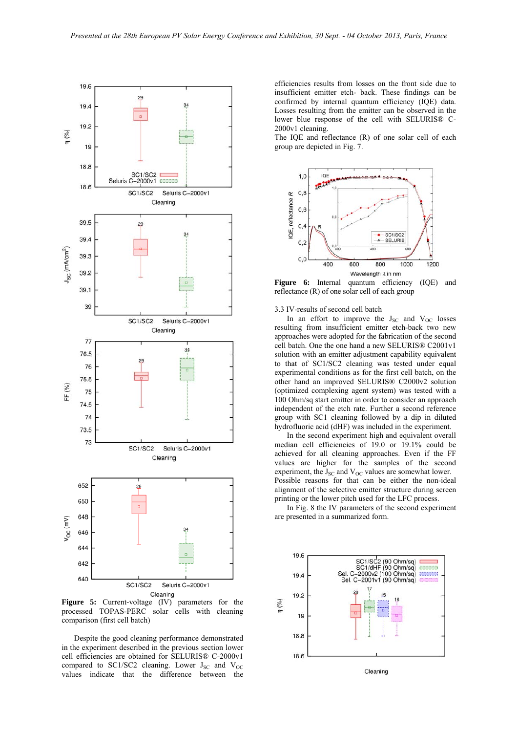

**Figure 5:** Current-voltage (IV) parameters for the processed TOPAS-PERC solar cells with cleaning comparison (first cell batch)

 Despite the good cleaning performance demonstrated in the experiment described in the previous section lower cell efficiencies are obtained for SELURIS® C-2000v1 compared to SC1/SC2 cleaning. Lower  $J_{SC}$  and  $V_{OC}$ values indicate that the difference between the

efficiencies results from losses on the front side due to insufficient emitter etch- back. These findings can be confirmed by internal quantum efficiency (IQE) data. Losses resulting from the emitter can be observed in the lower blue response of the cell with SELURIS® C-2000v1 cleaning.

The IQE and reflectance (R) of one solar cell of each group are depicted in Fig. 7.



**Figure 6:** Internal quantum efficiency (IQE) and reflectance (R) of one solar cell of each group

3.3 IV-results of second cell batch

In an effort to improve the  $J_{SC}$  and  $V_{OC}$  losses resulting from insufficient emitter etch-back two new approaches were adopted for the fabrication of the second cell batch. One the one hand a new SELURIS® C2001v1 solution with an emitter adjustment capability equivalent to that of SC1/SC2 cleaning was tested under equal experimental conditions as for the first cell batch, on the other hand an improved SELURIS® C2000v2 solution (optimized complexing agent system) was tested with a 100 Ohm/sq start emitter in order to consider an approach independent of the etch rate. Further a second reference group with SC1 cleaning followed by a dip in diluted hydrofluoric acid (dHF) was included in the experiment.

 In the second experiment high and equivalent overall median cell efficiencies of 19.0 or 19.1% could be achieved for all cleaning approaches. Even if the FF values are higher for the samples of the second experiment, the  $J_{SC}$  and  $V_{OC}$  values are somewhat lower. Possible reasons for that can be either the non-ideal alignment of the selective emitter structure during screen printing or the lower pitch used for the LFC process.

 In Fig. 8 the IV parameters of the second experiment are presented in a summarized form.

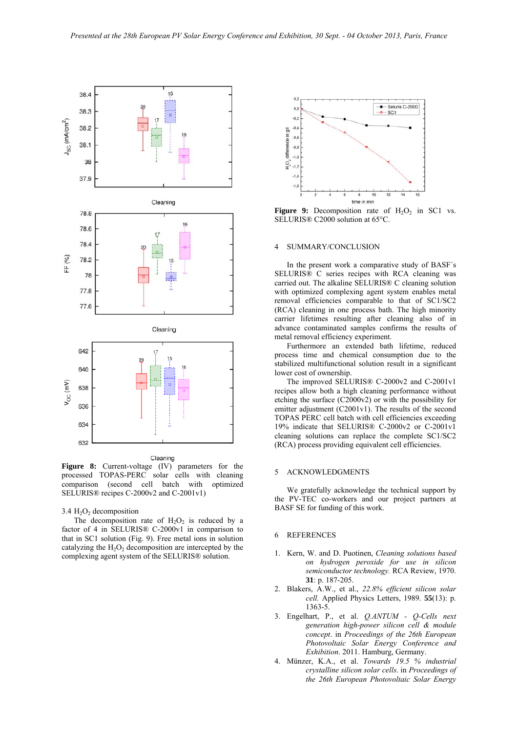

**Figure 8:** Current-voltage (IV) parameters for the processed TOPAS-PERC solar cells with cleaning comparison (second cell batch with optimized SELURIS® recipes C-2000v2 and C-2001v1)

# $3.4 H<sub>2</sub>O<sub>2</sub>$  decomposition

The decomposition rate of  $H_2O_2$  is reduced by a factor of 4 in SELURIS® C-2000v1 in comparison to that in SC1 solution (Fig. 9). Free metal ions in solution catalyzing the  $H_2O_2$  decomposition are intercepted by the complexing agent system of the SELURIS® solution.



**Figure 9:** Decomposition rate of  $H_2O_2$  in SC1 vs. SELURIS® C2000 solution at 65°C.

#### 4 SUMMARY/CONCLUSION

 In the present work a comparative study of BASF´s SELURIS® C series recipes with RCA cleaning was carried out. The alkaline SELURIS® C cleaning solution with optimized complexing agent system enables metal removal efficiencies comparable to that of SC1/SC2 (RCA) cleaning in one process bath. The high minority carrier lifetimes resulting after cleaning also of in advance contaminated samples confirms the results of metal removal efficiency experiment.

 Furthermore an extended bath lifetime, reduced process time and chemical consumption due to the stabilized multifunctional solution result in a significant lower cost of ownership.

 The improved SELURIS® C-2000v2 and C-2001v1 recipes allow both a high cleaning performance without etching the surface (C2000v2) or with the possibility for emitter adjustment  $(C2001v1)$ . The results of the second TOPAS PERC cell batch with cell efficiencies exceeding 19% indicate that SELURIS® C-2000v2 or C-2001v1 cleaning solutions can replace the complete SC1/SC2 (RCA) process providing equivalent cell efficiencies.

## 5 ACKNOWLEDGMENTS

 We gratefully acknowledge the technical support by the PV-TEC co-workers and our project partners at BASF SE for funding of this work.

## 6 REFERENCES

- 1. Kern, W. and D. Puotinen, *Cleaning solutions based on hydrogen peroxide for use in silicon semiconductor technology.* RCA Review, 1970. **31**: p. 187-205.
- 2. Blakers, A.W., et al., *22.8% efficient silicon solar cell.* Applied Physics Letters, 1989. **55**(13): p. 1363-5.
- 3. Engelhart, P., et al. *Q.ANTUM Q-Cells next generation high-power silicon cell & module concept*. in *Proceedings of the 26th European Photovoltaic Solar Energy Conference and Exhibition*. 2011. Hamburg, Germany.
- 4. Münzer, K.A., et al. *Towards 19.5 % industrial crystalline silicon solar cells*. in *Proceedings of the 26th European Photovoltaic Solar Energy*